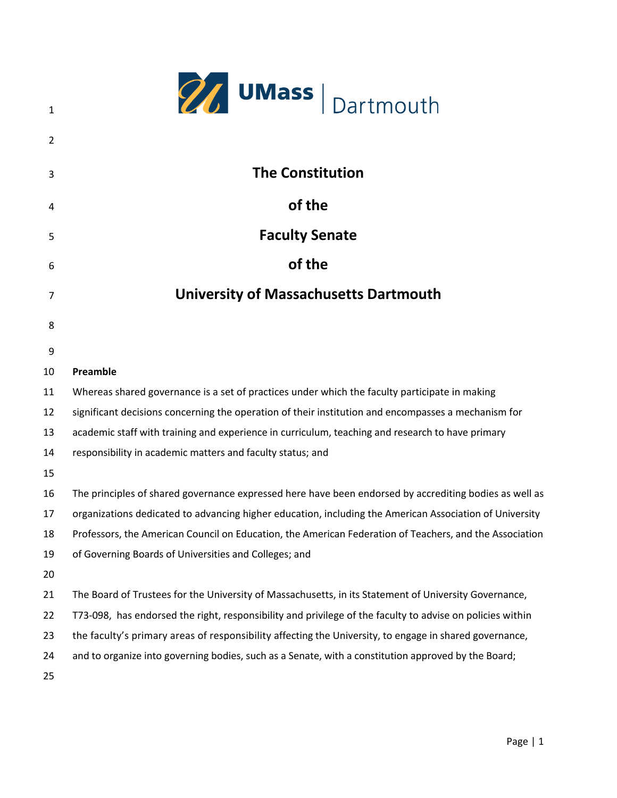|                | <b>27</b> UMass   Dartmouth                                                                               |
|----------------|-----------------------------------------------------------------------------------------------------------|
| $\mathbf{1}$   |                                                                                                           |
| $\overline{2}$ |                                                                                                           |
| 3              | <b>The Constitution</b>                                                                                   |
| 4              | of the                                                                                                    |
| 5              | <b>Faculty Senate</b>                                                                                     |
| 6              | of the                                                                                                    |
| 7              | <b>University of Massachusetts Dartmouth</b>                                                              |
| 8              |                                                                                                           |
| 9              |                                                                                                           |
| 10             | Preamble                                                                                                  |
| 11             | Whereas shared governance is a set of practices under which the faculty participate in making             |
| 12             | significant decisions concerning the operation of their institution and encompasses a mechanism for       |
| 13             | academic staff with training and experience in curriculum, teaching and research to have primary          |
| 14             | responsibility in academic matters and faculty status; and                                                |
| 15             |                                                                                                           |
| 16             | The principles of shared governance expressed here have been endorsed by accrediting bodies as well as    |
| 17             | organizations dedicated to advancing higher education, including the American Association of University   |
| 18             | Professors, the American Council on Education, the American Federation of Teachers, and the Association   |
| 19             | of Governing Boards of Universities and Colleges; and                                                     |
| 20             |                                                                                                           |
| 21             | The Board of Trustees for the University of Massachusetts, in its Statement of University Governance,     |
| 22             | T73-098, has endorsed the right, responsibility and privilege of the faculty to advise on policies within |
| 23             | the faculty's primary areas of responsibility affecting the University, to engage in shared governance,   |
| 24             | and to organize into governing bodies, such as a Senate, with a constitution approved by the Board;       |
| 25             |                                                                                                           |
|                |                                                                                                           |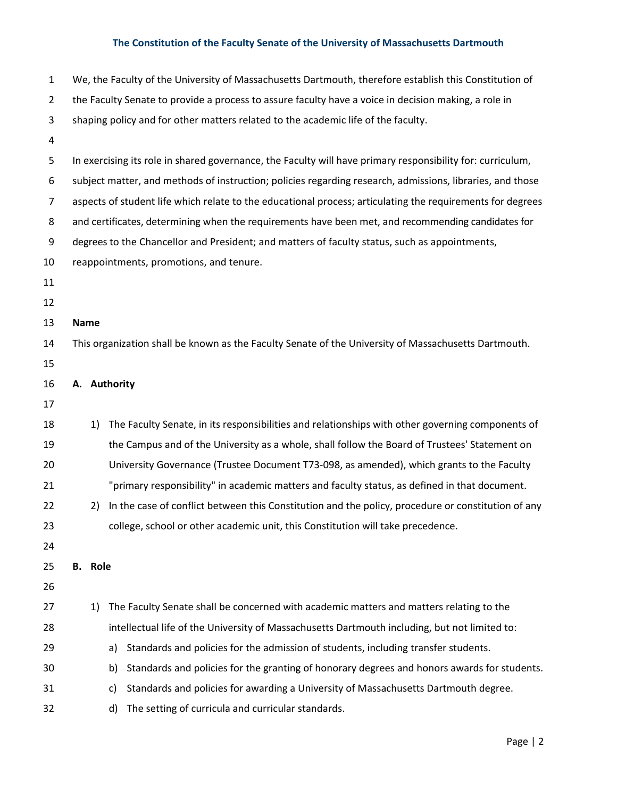| $\mathbf{1}$   |                |    | We, the Faculty of the University of Massachusetts Dartmouth, therefore establish this Constitution of     |
|----------------|----------------|----|------------------------------------------------------------------------------------------------------------|
| $\overline{2}$ |                |    | the Faculty Senate to provide a process to assure faculty have a voice in decision making, a role in       |
| 3              |                |    | shaping policy and for other matters related to the academic life of the faculty.                          |
| 4              |                |    |                                                                                                            |
| 5              |                |    | In exercising its role in shared governance, the Faculty will have primary responsibility for: curriculum, |
| 6              |                |    | subject matter, and methods of instruction; policies regarding research, admissions, libraries, and those  |
| 7              |                |    | aspects of student life which relate to the educational process; articulating the requirements for degrees |
| 8              |                |    | and certificates, determining when the requirements have been met, and recommending candidates for         |
| 9              |                |    | degrees to the Chancellor and President; and matters of faculty status, such as appointments,              |
| 10             |                |    | reappointments, promotions, and tenure.                                                                    |
| 11             |                |    |                                                                                                            |
| 12             |                |    |                                                                                                            |
| 13             | <b>Name</b>    |    |                                                                                                            |
| 14             |                |    | This organization shall be known as the Faculty Senate of the University of Massachusetts Dartmouth.       |
| 15             |                |    |                                                                                                            |
| 16             |                |    | A. Authority                                                                                               |
| 17             |                |    |                                                                                                            |
| 18             |                | 1) | The Faculty Senate, in its responsibilities and relationships with other governing components of           |
| 19             |                |    | the Campus and of the University as a whole, shall follow the Board of Trustees' Statement on              |
| 20             |                |    | University Governance (Trustee Document T73-098, as amended), which grants to the Faculty                  |
| 21             |                |    | "primary responsibility" in academic matters and faculty status, as defined in that document.              |
| 22             |                | 2) | In the case of conflict between this Constitution and the policy, procedure or constitution of any         |
| 23             |                |    | college, school or other academic unit, this Constitution will take precedence.                            |
| 24             |                |    |                                                                                                            |
| 25             | <b>B.</b> Role |    |                                                                                                            |
| 26             |                |    |                                                                                                            |
| 27             |                | 1) | The Faculty Senate shall be concerned with academic matters and matters relating to the                    |
| 28             |                |    | intellectual life of the University of Massachusetts Dartmouth including, but not limited to:              |
| 29             |                |    | Standards and policies for the admission of students, including transfer students.<br>a)                   |
| 30             |                |    | Standards and policies for the granting of honorary degrees and honors awards for students.<br>b)          |
| 31             |                |    | Standards and policies for awarding a University of Massachusetts Dartmouth degree.<br>c)                  |
| 32             |                |    | The setting of curricula and curricular standards.<br>d)                                                   |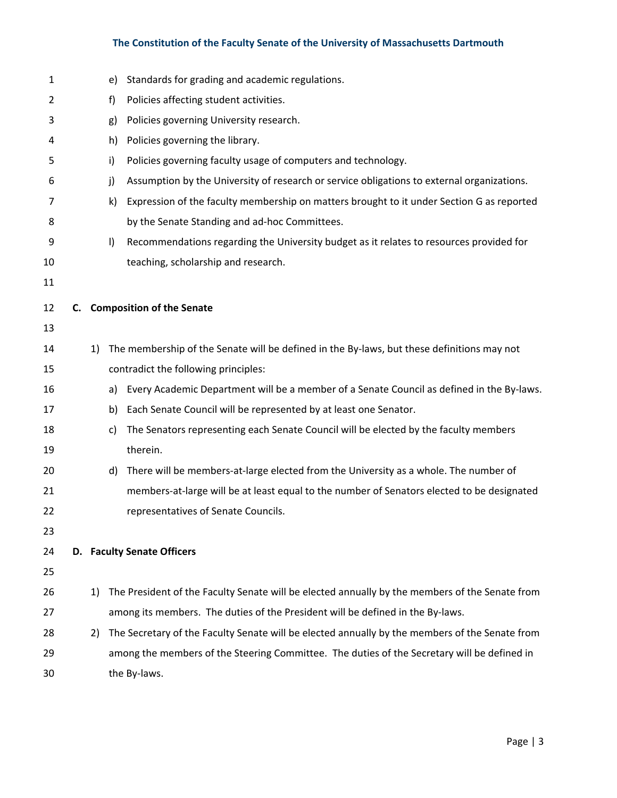| $\mathbf 1$ |    | e)      | Standards for grading and academic regulations.                                                |
|-------------|----|---------|------------------------------------------------------------------------------------------------|
| 2           |    | f)      | Policies affecting student activities.                                                         |
| 3           |    | g)      | Policies governing University research.                                                        |
| 4           |    | h)      | Policies governing the library.                                                                |
| 5           |    | i)      | Policies governing faculty usage of computers and technology.                                  |
| 6           |    | j)      | Assumption by the University of research or service obligations to external organizations.     |
| 7           |    | k)      | Expression of the faculty membership on matters brought to it under Section G as reported      |
| 8           |    |         | by the Senate Standing and ad-hoc Committees.                                                  |
| 9           |    | $\vert$ | Recommendations regarding the University budget as it relates to resources provided for        |
| 10          |    |         | teaching, scholarship and research.                                                            |
| 11          |    |         |                                                                                                |
| 12          |    |         | C. Composition of the Senate                                                                   |
| 13          |    |         |                                                                                                |
| 14          | 1) |         | The membership of the Senate will be defined in the By-laws, but these definitions may not     |
| 15          |    |         | contradict the following principles:                                                           |
| 16          |    | a)      | Every Academic Department will be a member of a Senate Council as defined in the By-laws.      |
| 17          |    | b)      | Each Senate Council will be represented by at least one Senator.                               |
| 18          |    | c)      | The Senators representing each Senate Council will be elected by the faculty members           |
| 19          |    |         | therein.                                                                                       |
| 20          |    | d)      | There will be members-at-large elected from the University as a whole. The number of           |
| 21          |    |         | members-at-large will be at least equal to the number of Senators elected to be designated     |
| 22          |    |         | representatives of Senate Councils.                                                            |
| 23          |    |         |                                                                                                |
| 24          |    |         | D. Faculty Senate Officers                                                                     |
| 25          |    |         |                                                                                                |
| 26          | 1) |         | The President of the Faculty Senate will be elected annually by the members of the Senate from |
| 27          |    |         | among its members. The duties of the President will be defined in the By-laws.                 |
| 28          | 2) |         | The Secretary of the Faculty Senate will be elected annually by the members of the Senate from |
| 29          |    |         | among the members of the Steering Committee. The duties of the Secretary will be defined in    |
| 30          |    |         | the By-laws.                                                                                   |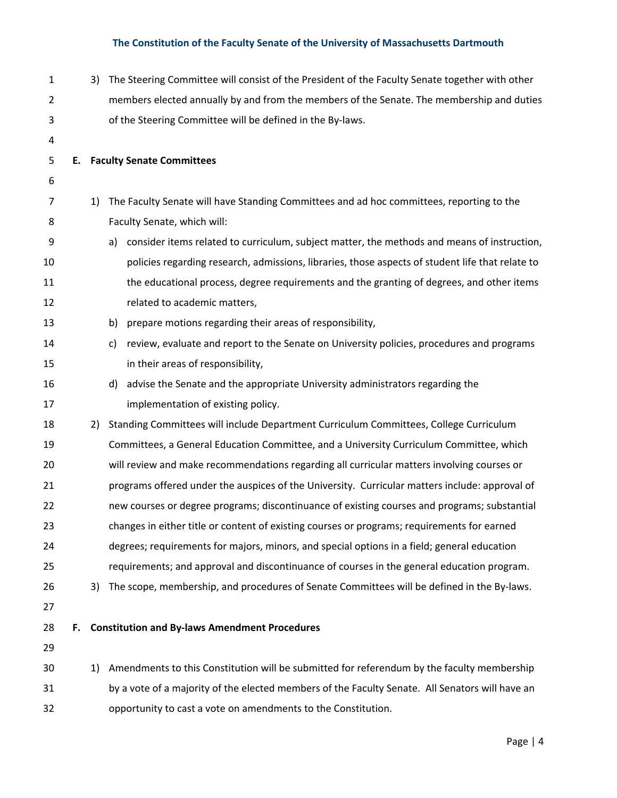| $\mathbf{1}$ |    | 3) | The Steering Committee will consist of the President of the Faculty Senate together with other    |
|--------------|----|----|---------------------------------------------------------------------------------------------------|
| 2            |    |    | members elected annually by and from the members of the Senate. The membership and duties         |
| 3            |    |    | of the Steering Committee will be defined in the By-laws.                                         |
| 4            |    |    |                                                                                                   |
| 5            |    |    | <b>E.</b> Faculty Senate Committees                                                               |
| 6            |    |    |                                                                                                   |
| 7            |    | 1) | The Faculty Senate will have Standing Committees and ad hoc committees, reporting to the          |
| 8            |    |    | Faculty Senate, which will:                                                                       |
| 9            |    |    | consider items related to curriculum, subject matter, the methods and means of instruction,<br>a) |
| 10           |    |    | policies regarding research, admissions, libraries, those aspects of student life that relate to  |
| 11           |    |    | the educational process, degree requirements and the granting of degrees, and other items         |
| 12           |    |    | related to academic matters,                                                                      |
| 13           |    |    | prepare motions regarding their areas of responsibility,<br>b)                                    |
| 14           |    |    | review, evaluate and report to the Senate on University policies, procedures and programs<br>c)   |
| 15           |    |    | in their areas of responsibility,                                                                 |
| 16           |    |    | advise the Senate and the appropriate University administrators regarding the<br>d)               |
| 17           |    |    | implementation of existing policy.                                                                |
| 18           |    | 2) | Standing Committees will include Department Curriculum Committees, College Curriculum             |
| 19           |    |    | Committees, a General Education Committee, and a University Curriculum Committee, which           |
| 20           |    |    | will review and make recommendations regarding all curricular matters involving courses or        |
| 21           |    |    | programs offered under the auspices of the University. Curricular matters include: approval of    |
| 22           |    |    | new courses or degree programs; discontinuance of existing courses and programs; substantial      |
| 23           |    |    | changes in either title or content of existing courses or programs; requirements for earned       |
| 24           |    |    | degrees; requirements for majors, minors, and special options in a field; general education       |
| 25           |    |    | requirements; and approval and discontinuance of courses in the general education program.        |
| 26           |    | 3) | The scope, membership, and procedures of Senate Committees will be defined in the By-laws.        |
| 27           |    |    |                                                                                                   |
| 28           | F. |    | <b>Constitution and By-laws Amendment Procedures</b>                                              |
| 29           |    |    |                                                                                                   |
| 30           |    | 1) | Amendments to this Constitution will be submitted for referendum by the faculty membership        |
| 31           |    |    | by a vote of a majority of the elected members of the Faculty Senate. All Senators will have an   |
| 32           |    |    | opportunity to cast a vote on amendments to the Constitution.                                     |
|              |    |    |                                                                                                   |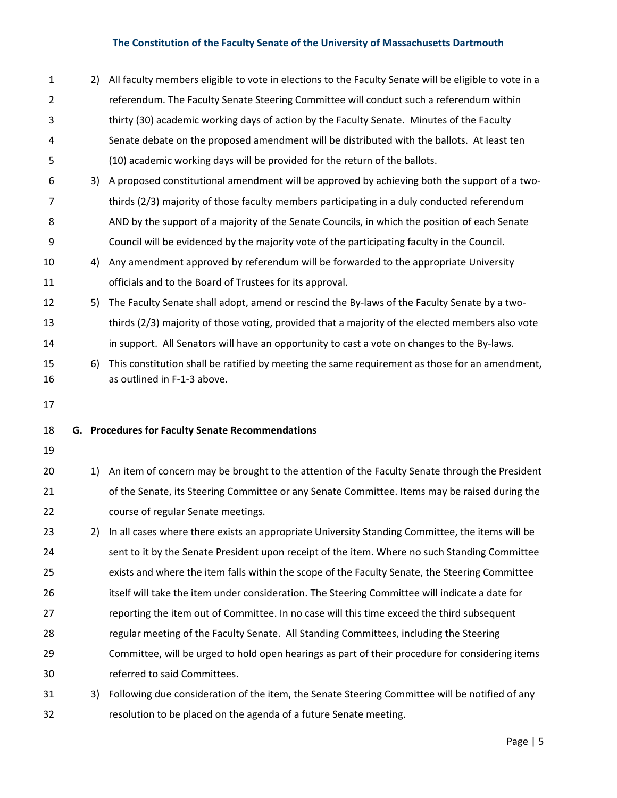| $\mathbf{1}$   | 2) | All faculty members eligible to vote in elections to the Faculty Senate will be eligible to vote in a                         |
|----------------|----|-------------------------------------------------------------------------------------------------------------------------------|
| $\overline{2}$ |    | referendum. The Faculty Senate Steering Committee will conduct such a referendum within                                       |
| 3              |    | thirty (30) academic working days of action by the Faculty Senate. Minutes of the Faculty                                     |
| 4              |    | Senate debate on the proposed amendment will be distributed with the ballots. At least ten                                    |
| 5              |    | (10) academic working days will be provided for the return of the ballots.                                                    |
| 6              | 3) | A proposed constitutional amendment will be approved by achieving both the support of a two-                                  |
| 7              |    | thirds (2/3) majority of those faculty members participating in a duly conducted referendum                                   |
| 8              |    | AND by the support of a majority of the Senate Councils, in which the position of each Senate                                 |
| 9              |    | Council will be evidenced by the majority vote of the participating faculty in the Council.                                   |
| 10             | 4) | Any amendment approved by referendum will be forwarded to the appropriate University                                          |
| 11             |    | officials and to the Board of Trustees for its approval.                                                                      |
| 12             | 5) | The Faculty Senate shall adopt, amend or rescind the By-laws of the Faculty Senate by a two-                                  |
| 13             |    | thirds (2/3) majority of those voting, provided that a majority of the elected members also vote                              |
| 14             |    | in support. All Senators will have an opportunity to cast a vote on changes to the By-laws.                                   |
| 15<br>16       | 6) | This constitution shall be ratified by meeting the same requirement as those for an amendment,<br>as outlined in F-1-3 above. |
|                |    |                                                                                                                               |
| 17             |    |                                                                                                                               |
| 18             |    | G. Procedures for Faculty Senate Recommendations                                                                              |
| 19             |    |                                                                                                                               |
| 20             | 1) | An item of concern may be brought to the attention of the Faculty Senate through the President                                |
| 21             |    | of the Senate, its Steering Committee or any Senate Committee. Items may be raised during the                                 |
| 22             |    | course of regular Senate meetings.                                                                                            |
| 23             | 2) | In all cases where there exists an appropriate University Standing Committee, the items will be                               |
| 24             |    | sent to it by the Senate President upon receipt of the item. Where no such Standing Committee                                 |
| 25             |    | exists and where the item falls within the scope of the Faculty Senate, the Steering Committee                                |
| 26             |    | itself will take the item under consideration. The Steering Committee will indicate a date for                                |
| 27             |    | reporting the item out of Committee. In no case will this time exceed the third subsequent                                    |
| 28             |    | regular meeting of the Faculty Senate. All Standing Committees, including the Steering                                        |
| 29             |    | Committee, will be urged to hold open hearings as part of their procedure for considering items                               |
| 30             |    | referred to said Committees.                                                                                                  |
| 31             | 3) | Following due consideration of the item, the Senate Steering Committee will be notified of any                                |